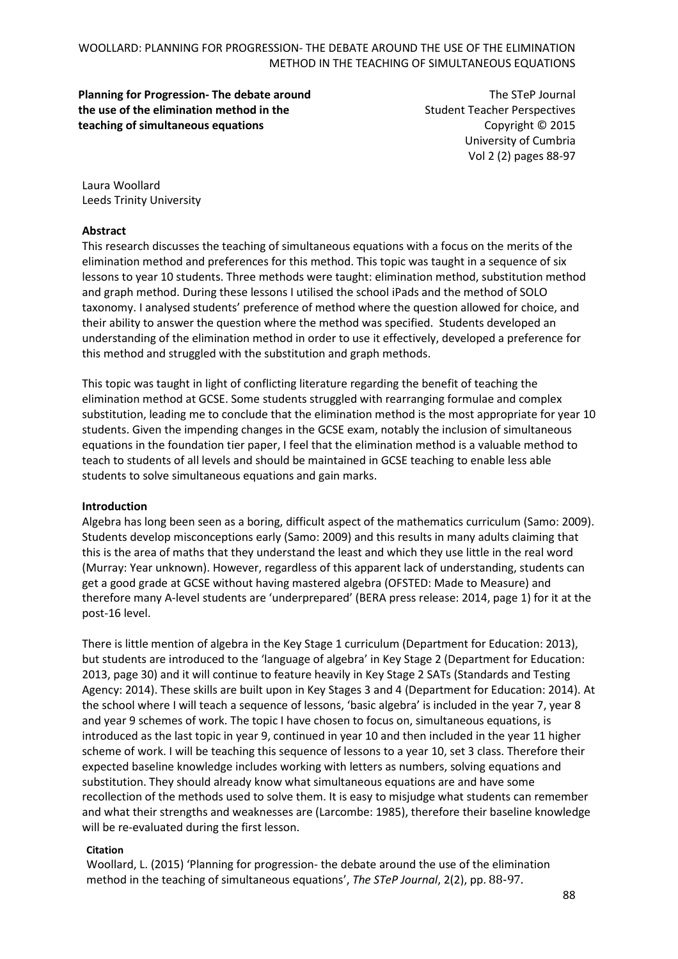## WOOLLARD: PLANNING FOR PROGRESSION- THE DEBATE AROUND THE USE OF THE ELIMINATION METHOD IN THE TEACHING OF SIMULTANEOUS EQUATIONS

## **Planning for Progression- The debate around the use of the elimination method in the teaching of simultaneous equations**

The STeP Journal Student Teacher Perspectives Copyright © 2015 University of Cumbria Vol 2 (2) pages 88-97

Laura Woollard Leeds Trinity University

## **Abstract**

This research discusses the teaching of simultaneous equations with a focus on the merits of the elimination method and preferences for this method. This topic was taught in a sequence of six lessons to year 10 students. Three methods were taught: elimination method, substitution method and graph method. During these lessons I utilised the school iPads and the method of SOLO taxonomy. I analysed students' preference of method where the question allowed for choice, and their ability to answer the question where the method was specified. Students developed an understanding of the elimination method in order to use it effectively, developed a preference for this method and struggled with the substitution and graph methods.

This topic was taught in light of conflicting literature regarding the benefit of teaching the elimination method at GCSE. Some students struggled with rearranging formulae and complex substitution, leading me to conclude that the elimination method is the most appropriate for year 10 students. Given the impending changes in the GCSE exam, notably the inclusion of simultaneous equations in the foundation tier paper, I feel that the elimination method is a valuable method to teach to students of all levels and should be maintained in GCSE teaching to enable less able students to solve simultaneous equations and gain marks.

#### **Introduction**

Algebra has long been seen as a boring, difficult aspect of the mathematics curriculum (Samo: 2009). Students develop misconceptions early (Samo: 2009) and this results in many adults claiming that this is the area of maths that they understand the least and which they use little in the real word (Murray: Year unknown). However, regardless of this apparent lack of understanding, students can get a good grade at GCSE without having mastered algebra (OFSTED: Made to Measure) and therefore many A-level students are 'underprepared' (BERA press release: 2014, page 1) for it at the post-16 level.

There is little mention of algebra in the Key Stage 1 curriculum (Department for Education: 2013), but students are introduced to the 'language of algebra' in Key Stage 2 (Department for Education: 2013, page 30) and it will continue to feature heavily in Key Stage 2 SATs (Standards and Testing Agency: 2014). These skills are built upon in Key Stages 3 and 4 (Department for Education: 2014). At the school where I will teach a sequence of lessons, 'basic algebra' is included in the year 7, year 8 and year 9 schemes of work. The topic I have chosen to focus on, simultaneous equations, is introduced as the last topic in year 9, continued in year 10 and then included in the year 11 higher scheme of work. I will be teaching this sequence of lessons to a year 10, set 3 class. Therefore their expected baseline knowledge includes working with letters as numbers, solving equations and substitution. They should already know what simultaneous equations are and have some recollection of the methods used to solve them. It is easy to misjudge what students can remember and what their strengths and weaknesses are (Larcombe: 1985), therefore their baseline knowledge will be re-evaluated during the first lesson.

#### **Citation**

Woollard, L. (2015) 'Planning for progression- the debate around the use of the elimination method in the teaching of simultaneous equations', *The STeP Journal*, 2(2), pp. 88-97.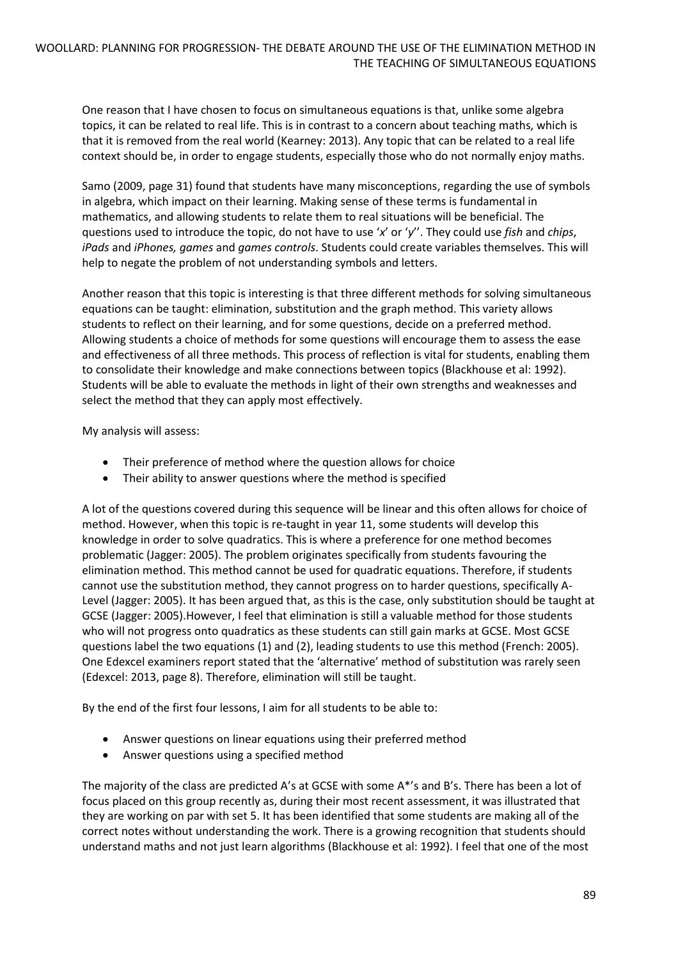One reason that I have chosen to focus on simultaneous equations is that, unlike some algebra topics, it can be related to real life. This is in contrast to a concern about teaching maths, which is that it is removed from the real world (Kearney: 2013). Any topic that can be related to a real life context should be, in order to engage students, especially those who do not normally enjoy maths.

Samo (2009, page 31) found that students have many misconceptions, regarding the use of symbols in algebra, which impact on their learning. Making sense of these terms is fundamental in mathematics, and allowing students to relate them to real situations will be beneficial. The questions used to introduce the topic, do not have to use '*x*' or '*y*''. They could use *fish* and *chips*, *iPads* and *iPhones, games* and *games controls*. Students could create variables themselves. This will help to negate the problem of not understanding symbols and letters.

Another reason that this topic is interesting is that three different methods for solving simultaneous equations can be taught: elimination, substitution and the graph method. This variety allows students to reflect on their learning, and for some questions, decide on a preferred method. Allowing students a choice of methods for some questions will encourage them to assess the ease and effectiveness of all three methods. This process of reflection is vital for students, enabling them to consolidate their knowledge and make connections between topics (Blackhouse et al: 1992). Students will be able to evaluate the methods in light of their own strengths and weaknesses and select the method that they can apply most effectively.

My analysis will assess:

- Their preference of method where the question allows for choice
- Their ability to answer questions where the method is specified

A lot of the questions covered during this sequence will be linear and this often allows for choice of method. However, when this topic is re-taught in year 11, some students will develop this knowledge in order to solve quadratics. This is where a preference for one method becomes problematic (Jagger: 2005). The problem originates specifically from students favouring the elimination method. This method cannot be used for quadratic equations. Therefore, if students cannot use the substitution method, they cannot progress on to harder questions, specifically A-Level (Jagger: 2005). It has been argued that, as this is the case, only substitution should be taught at GCSE (Jagger: 2005).However, I feel that elimination is still a valuable method for those students who will not progress onto quadratics as these students can still gain marks at GCSE. Most GCSE questions label the two equations (1) and (2), leading students to use this method (French: 2005). One Edexcel examiners report stated that the 'alternative' method of substitution was rarely seen (Edexcel: 2013, page 8). Therefore, elimination will still be taught.

By the end of the first four lessons, I aim for all students to be able to:

- Answer questions on linear equations using their preferred method
- Answer questions using a specified method

The majority of the class are predicted A's at GCSE with some A\*'s and B's. There has been a lot of focus placed on this group recently as, during their most recent assessment, it was illustrated that they are working on par with set 5. It has been identified that some students are making all of the correct notes without understanding the work. There is a growing recognition that students should understand maths and not just learn algorithms (Blackhouse et al: 1992). I feel that one of the most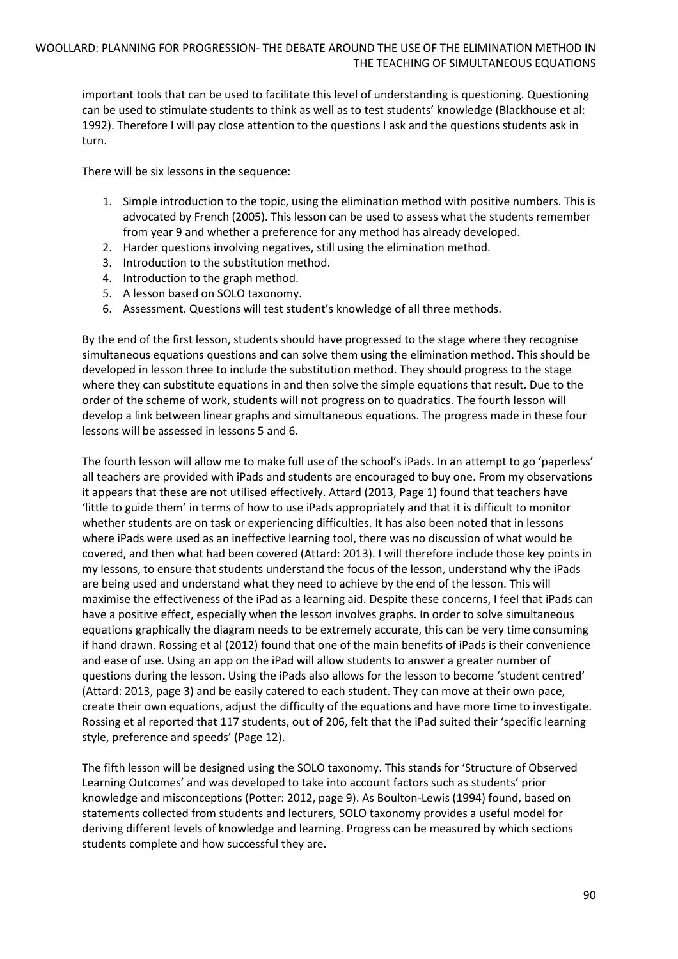important tools that can be used to facilitate this level of understanding is questioning. Questioning can be used to stimulate students to think as well as to test students' knowledge (Blackhouse et al: 1992). Therefore I will pay close attention to the questions I ask and the questions students ask in turn.

There will be six lessons in the sequence:

- 1. Simple introduction to the topic, using the elimination method with positive numbers. This is advocated by French (2005). This lesson can be used to assess what the students remember from year 9 and whether a preference for any method has already developed.
- 2. Harder questions involving negatives, still using the elimination method.
- 3. Introduction to the substitution method.
- 4. Introduction to the graph method.
- 5. A lesson based on SOLO taxonomy.
- 6. Assessment. Questions will test student's knowledge of all three methods.

By the end of the first lesson, students should have progressed to the stage where they recognise simultaneous equations questions and can solve them using the elimination method. This should be developed in lesson three to include the substitution method. They should progress to the stage where they can substitute equations in and then solve the simple equations that result. Due to the order of the scheme of work, students will not progress on to quadratics. The fourth lesson will develop a link between linear graphs and simultaneous equations. The progress made in these four lessons will be assessed in lessons 5 and 6.

The fourth lesson will allow me to make full use of the school's iPads. In an attempt to go 'paperless' all teachers are provided with iPads and students are encouraged to buy one. From my observations it appears that these are not utilised effectively. Attard (2013, Page 1) found that teachers have 'little to guide them' in terms of how to use iPads appropriately and that it is difficult to monitor whether students are on task or experiencing difficulties. It has also been noted that in lessons where iPads were used as an ineffective learning tool, there was no discussion of what would be covered, and then what had been covered (Attard: 2013). I will therefore include those key points in my lessons, to ensure that students understand the focus of the lesson, understand why the iPads are being used and understand what they need to achieve by the end of the lesson. This will maximise the effectiveness of the iPad as a learning aid. Despite these concerns, I feel that iPads can have a positive effect, especially when the lesson involves graphs. In order to solve simultaneous equations graphically the diagram needs to be extremely accurate, this can be very time consuming if hand drawn. Rossing et al (2012) found that one of the main benefits of iPads is their convenience and ease of use. Using an app on the iPad will allow students to answer a greater number of questions during the lesson. Using the iPads also allows for the lesson to become 'student centred' (Attard: 2013, page 3) and be easily catered to each student. They can move at their own pace, create their own equations, adjust the difficulty of the equations and have more time to investigate. Rossing et al reported that 117 students, out of 206, felt that the iPad suited their 'specific learning style, preference and speeds' (Page 12).

The fifth lesson will be designed using the SOLO taxonomy. This stands for 'Structure of Observed Learning Outcomes' and was developed to take into account factors such as students' prior knowledge and misconceptions (Potter: 2012, page 9). As Boulton-Lewis (1994) found, based on statements collected from students and lecturers, SOLO taxonomy provides a useful model for deriving different levels of knowledge and learning. Progress can be measured by which sections students complete and how successful they are.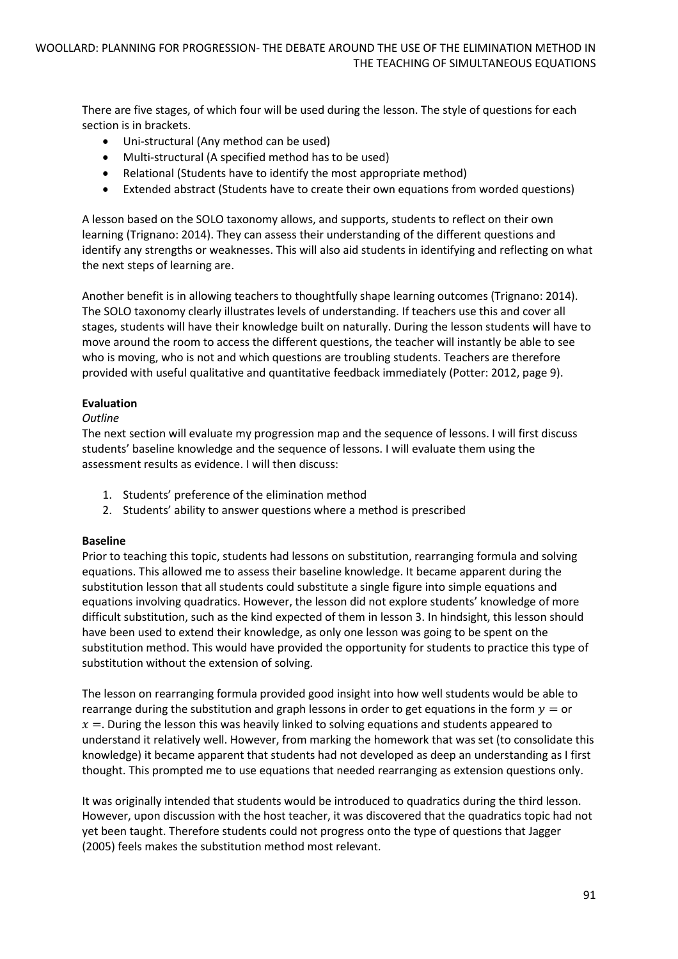There are five stages, of which four will be used during the lesson. The style of questions for each section is in brackets.

- Uni-structural (Any method can be used)
- Multi-structural (A specified method has to be used)
- Relational (Students have to identify the most appropriate method)
- Extended abstract (Students have to create their own equations from worded questions)

A lesson based on the SOLO taxonomy allows, and supports, students to reflect on their own learning (Trignano: 2014). They can assess their understanding of the different questions and identify any strengths or weaknesses. This will also aid students in identifying and reflecting on what the next steps of learning are.

Another benefit is in allowing teachers to thoughtfully shape learning outcomes (Trignano: 2014). The SOLO taxonomy clearly illustrates levels of understanding. If teachers use this and cover all stages, students will have their knowledge built on naturally. During the lesson students will have to move around the room to access the different questions, the teacher will instantly be able to see who is moving, who is not and which questions are troubling students. Teachers are therefore provided with useful qualitative and quantitative feedback immediately (Potter: 2012, page 9).

## **Evaluation**

## *Outline*

The next section will evaluate my progression map and the sequence of lessons. I will first discuss students' baseline knowledge and the sequence of lessons. I will evaluate them using the assessment results as evidence. I will then discuss:

- 1. Students' preference of the elimination method
- 2. Students' ability to answer questions where a method is prescribed

## **Baseline**

Prior to teaching this topic, students had lessons on substitution, rearranging formula and solving equations. This allowed me to assess their baseline knowledge. It became apparent during the substitution lesson that all students could substitute a single figure into simple equations and equations involving quadratics. However, the lesson did not explore students' knowledge of more difficult substitution, such as the kind expected of them in lesson 3. In hindsight, this lesson should have been used to extend their knowledge, as only one lesson was going to be spent on the substitution method. This would have provided the opportunity for students to practice this type of substitution without the extension of solving.

The lesson on rearranging formula provided good insight into how well students would be able to rearrange during the substitution and graph lessons in order to get equations in the form  $y =$  or  $x =$ . During the lesson this was heavily linked to solving equations and students appeared to understand it relatively well. However, from marking the homework that was set (to consolidate this knowledge) it became apparent that students had not developed as deep an understanding as I first thought. This prompted me to use equations that needed rearranging as extension questions only.

It was originally intended that students would be introduced to quadratics during the third lesson. However, upon discussion with the host teacher, it was discovered that the quadratics topic had not yet been taught. Therefore students could not progress onto the type of questions that Jagger (2005) feels makes the substitution method most relevant.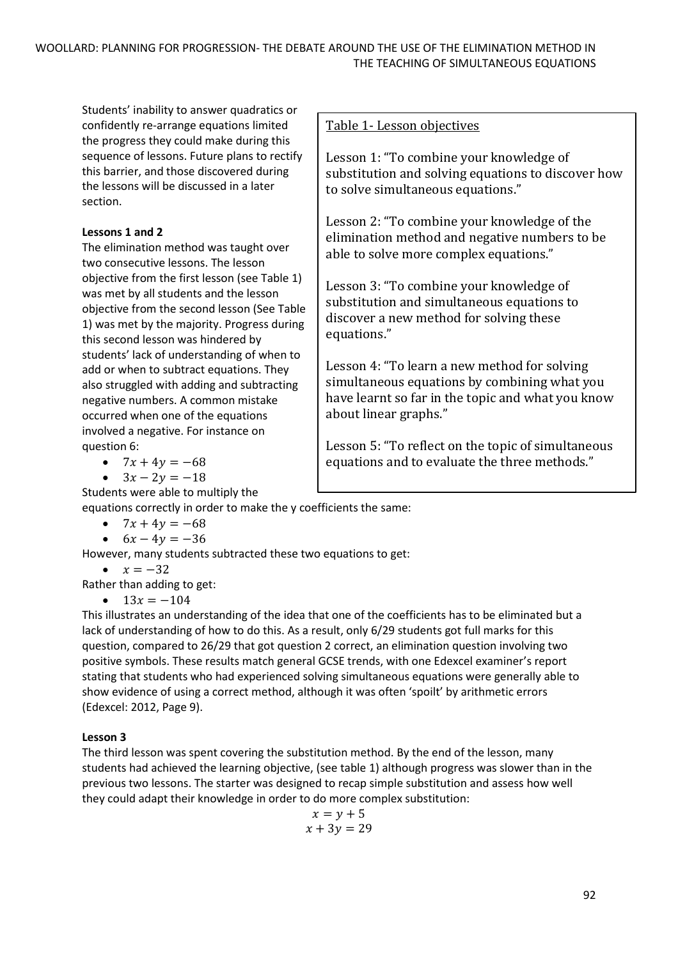Students' inability to answer quadratics or confidently re-arrange equations limited the progress they could make during this sequence of lessons. Future plans to rectify this barrier, and those discovered during the lessons will be discussed in a later section.

# **Lessons 1 and 2**

The elimination method was taught over two consecutive lessons. The lesson objective from the first lesson (see Table 1) was met by all students and the lesson objective from the second lesson (See Table 1) was met by the majority. Progress during this second lesson was hindered by students' lack of understanding of when to add or when to subtract equations. They also struggled with adding and subtracting negative numbers. A common mistake occurred when one of the equations involved a negative. For instance on question 6:

- $7x + 4y = -68$
- $3x 2y = -18$

Students were able to multiply the

Table 1- Lesson objectives

Lesson 1: "To combine your knowledge of substitution and solving equations to discover how to solve simultaneous equations."

Lesson 2: "To combine your knowledge of the elimination method and negative numbers to be able to solve more complex equations."

Lesson 3: "To combine your knowledge of substitution and simultaneous equations to discover a new method for solving these equations."

Lesson 4: "To learn a new method for solving simultaneous equations by combining what you have learnt so far in the topic and what you know about linear graphs."

Lesson 5: "To reflect on the topic of simultaneous equations and to evaluate the three methods."

equations correctly in order to make the y coefficients the same:

- $7x + 4y = -68$
- $6x 4y = -36$

However, many students subtracted these two equations to get:

$$
\bullet \quad x = -32
$$

Rather than adding to get:

•  $13x = -104$ 

This illustrates an understanding of the idea that one of the coefficients has to be eliminated but a lack of understanding of how to do this. As a result, only 6/29 students got full marks for this question, compared to 26/29 that got question 2 correct, an elimination question involving two positive symbols. These results match general GCSE trends, with one Edexcel examiner's report stating that students who had experienced solving simultaneous equations were generally able to show evidence of using a correct method, although it was often 'spoilt' by arithmetic errors (Edexcel: 2012, Page 9).

# **Lesson 3**

The third lesson was spent covering the substitution method. By the end of the lesson, many students had achieved the learning objective, (see table 1) although progress was slower than in the previous two lessons. The starter was designed to recap simple substitution and assess how well they could adapt their knowledge in order to do more complex substitution:

$$
x = y + 5
$$
  

$$
x + 3y = 29
$$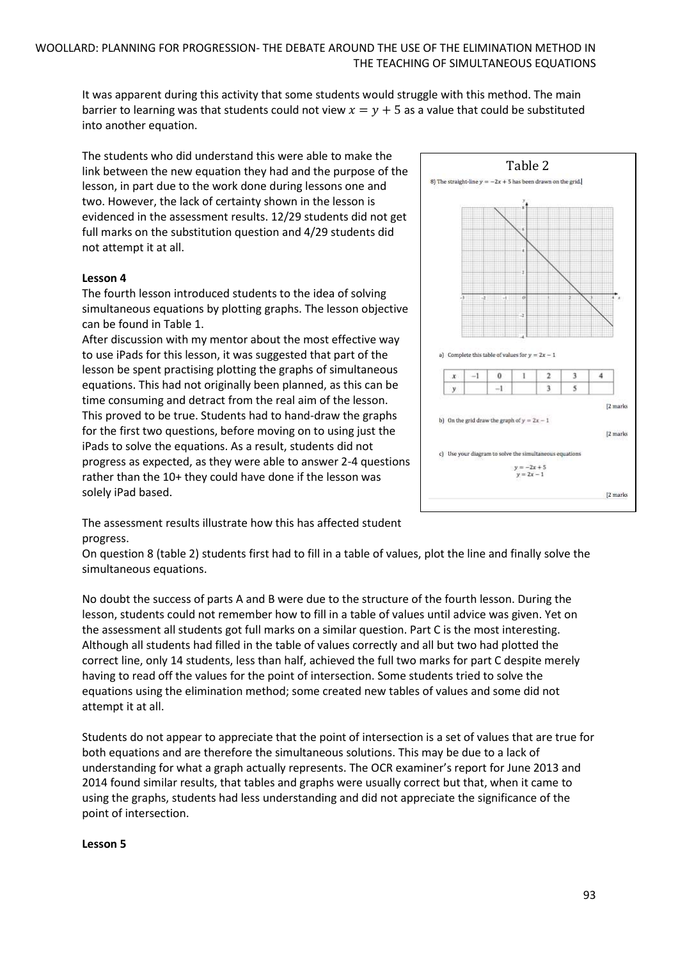It was apparent during this activity that some students would struggle with this method. The main barrier to learning was that students could not view  $x = y + 5$  as a value that could be substituted into another equation.

The students who did understand this were able to make the link between the new equation they had and the purpose of the lesson, in part due to the work done during lessons one and two. However, the lack of certainty shown in the lesson is evidenced in the assessment results. 12/29 students did not get full marks on the substitution question and 4/29 students did not attempt it at all.

## **Lesson 4**

The fourth lesson introduced students to the idea of solving simultaneous equations by plotting graphs. The lesson objective can be found in Table 1.

After discussion with my mentor about the most effective way to use iPads for this lesson, it was suggested that part of the lesson be spent practising plotting the graphs of simultaneous equations. This had not originally been planned, as this can be time consuming and detract from the real aim of the lesson. This proved to be true. Students had to hand-draw the graphs for the first two questions, before moving on to using just the iPads to solve the equations. As a result, students did not progress as expected, as they were able to answer 2-4 questions rather than the 10+ they could have done if the lesson was solely iPad based.



The assessment results illustrate how this has affected student progress.

On question 8 (table 2) students first had to fill in a table of values, plot the line and finally solve the simultaneous equations.

No doubt the success of parts A and B were due to the structure of the fourth lesson. During the lesson, students could not remember how to fill in a table of values until advice was given. Yet on the assessment all students got full marks on a similar question. Part C is the most interesting. Although all students had filled in the table of values correctly and all but two had plotted the correct line, only 14 students, less than half, achieved the full two marks for part C despite merely having to read off the values for the point of intersection. Some students tried to solve the equations using the elimination method; some created new tables of values and some did not attempt it at all.

Students do not appear to appreciate that the point of intersection is a set of values that are true for both equations and are therefore the simultaneous solutions. This may be due to a lack of understanding for what a graph actually represents. The OCR examiner's report for June 2013 and 2014 found similar results, that tables and graphs were usually correct but that, when it came to using the graphs, students had less understanding and did not appreciate the significance of the point of intersection.

#### **Lesson 5**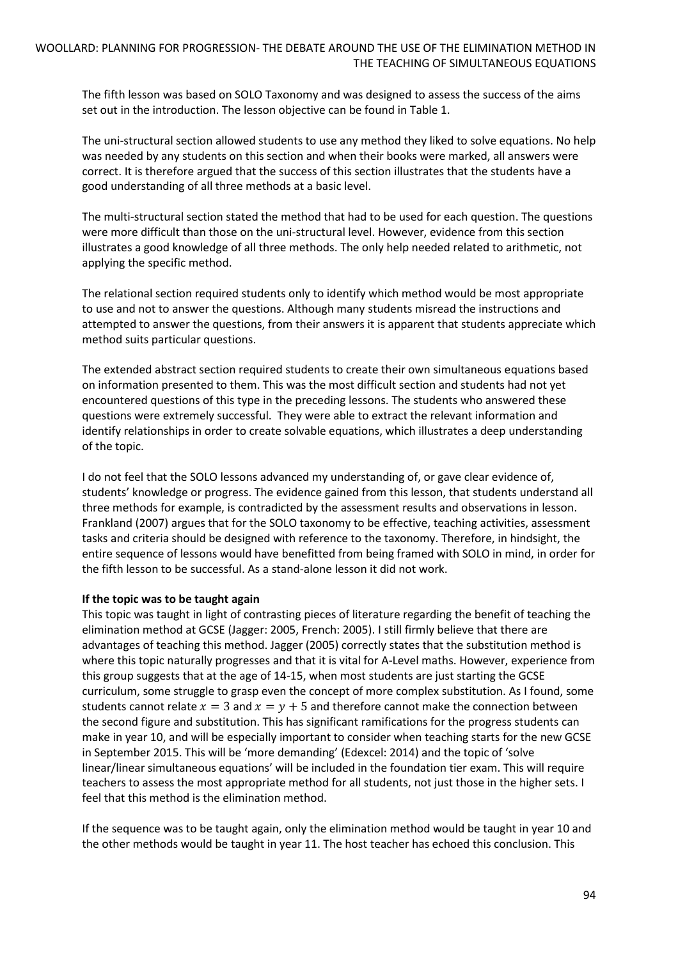The fifth lesson was based on SOLO Taxonomy and was designed to assess the success of the aims set out in the introduction. The lesson objective can be found in Table 1.

The uni-structural section allowed students to use any method they liked to solve equations. No help was needed by any students on this section and when their books were marked, all answers were correct. It is therefore argued that the success of this section illustrates that the students have a good understanding of all three methods at a basic level.

The multi-structural section stated the method that had to be used for each question. The questions were more difficult than those on the uni-structural level. However, evidence from this section illustrates a good knowledge of all three methods. The only help needed related to arithmetic, not applying the specific method.

The relational section required students only to identify which method would be most appropriate to use and not to answer the questions. Although many students misread the instructions and attempted to answer the questions, from their answers it is apparent that students appreciate which method suits particular questions.

The extended abstract section required students to create their own simultaneous equations based on information presented to them. This was the most difficult section and students had not yet encountered questions of this type in the preceding lessons. The students who answered these questions were extremely successful. They were able to extract the relevant information and identify relationships in order to create solvable equations, which illustrates a deep understanding of the topic.

I do not feel that the SOLO lessons advanced my understanding of, or gave clear evidence of, students' knowledge or progress. The evidence gained from this lesson, that students understand all three methods for example, is contradicted by the assessment results and observations in lesson. Frankland (2007) argues that for the SOLO taxonomy to be effective, teaching activities, assessment tasks and criteria should be designed with reference to the taxonomy. Therefore, in hindsight, the entire sequence of lessons would have benefitted from being framed with SOLO in mind, in order for the fifth lesson to be successful. As a stand-alone lesson it did not work.

## **If the topic was to be taught again**

This topic was taught in light of contrasting pieces of literature regarding the benefit of teaching the elimination method at GCSE (Jagger: 2005, French: 2005). I still firmly believe that there are advantages of teaching this method. Jagger (2005) correctly states that the substitution method is where this topic naturally progresses and that it is vital for A-Level maths. However, experience from this group suggests that at the age of 14-15, when most students are just starting the GCSE curriculum, some struggle to grasp even the concept of more complex substitution. As I found, some students cannot relate  $x = 3$  and  $x = y + 5$  and therefore cannot make the connection between the second figure and substitution. This has significant ramifications for the progress students can make in year 10, and will be especially important to consider when teaching starts for the new GCSE in September 2015. This will be 'more demanding' (Edexcel: 2014) and the topic of 'solve linear/linear simultaneous equations' will be included in the foundation tier exam. This will require teachers to assess the most appropriate method for all students, not just those in the higher sets. I feel that this method is the elimination method.

If the sequence was to be taught again, only the elimination method would be taught in year 10 and the other methods would be taught in year 11. The host teacher has echoed this conclusion. This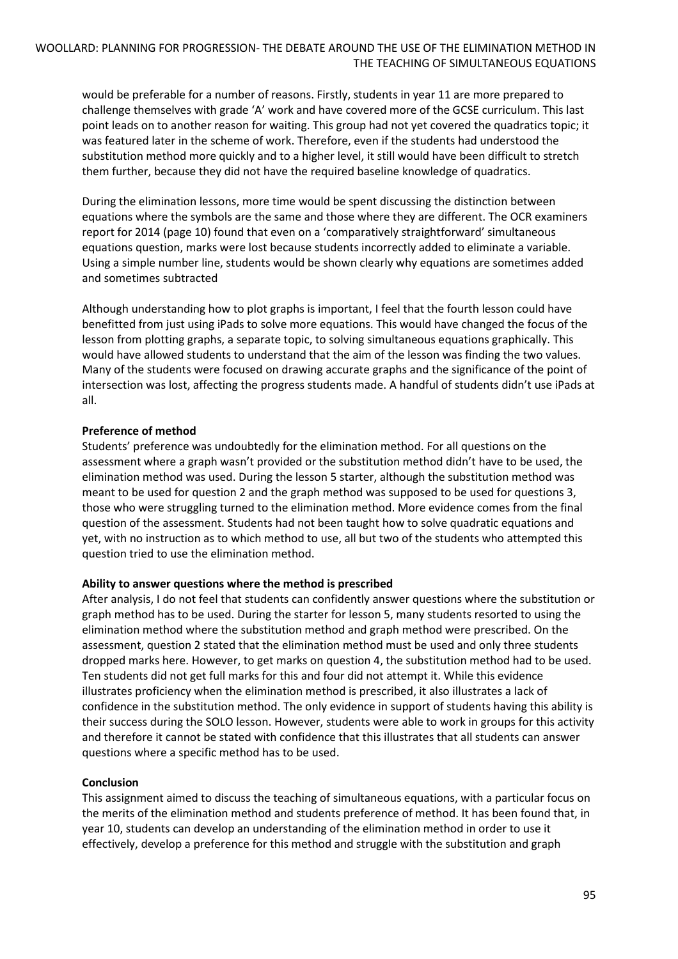would be preferable for a number of reasons. Firstly, students in year 11 are more prepared to challenge themselves with grade 'A' work and have covered more of the GCSE curriculum. This last point leads on to another reason for waiting. This group had not yet covered the quadratics topic; it was featured later in the scheme of work. Therefore, even if the students had understood the substitution method more quickly and to a higher level, it still would have been difficult to stretch them further, because they did not have the required baseline knowledge of quadratics.

During the elimination lessons, more time would be spent discussing the distinction between equations where the symbols are the same and those where they are different. The OCR examiners report for 2014 (page 10) found that even on a 'comparatively straightforward' simultaneous equations question, marks were lost because students incorrectly added to eliminate a variable. Using a simple number line, students would be shown clearly why equations are sometimes added and sometimes subtracted

Although understanding how to plot graphs is important, I feel that the fourth lesson could have benefitted from just using iPads to solve more equations. This would have changed the focus of the lesson from plotting graphs, a separate topic, to solving simultaneous equations graphically. This would have allowed students to understand that the aim of the lesson was finding the two values. Many of the students were focused on drawing accurate graphs and the significance of the point of intersection was lost, affecting the progress students made. A handful of students didn't use iPads at all.

## **Preference of method**

Students' preference was undoubtedly for the elimination method. For all questions on the assessment where a graph wasn't provided or the substitution method didn't have to be used, the elimination method was used. During the lesson 5 starter, although the substitution method was meant to be used for question 2 and the graph method was supposed to be used for questions 3, those who were struggling turned to the elimination method. More evidence comes from the final question of the assessment. Students had not been taught how to solve quadratic equations and yet, with no instruction as to which method to use, all but two of the students who attempted this question tried to use the elimination method.

## **Ability to answer questions where the method is prescribed**

After analysis, I do not feel that students can confidently answer questions where the substitution or graph method has to be used. During the starter for lesson 5, many students resorted to using the elimination method where the substitution method and graph method were prescribed. On the assessment, question 2 stated that the elimination method must be used and only three students dropped marks here. However, to get marks on question 4, the substitution method had to be used. Ten students did not get full marks for this and four did not attempt it. While this evidence illustrates proficiency when the elimination method is prescribed, it also illustrates a lack of confidence in the substitution method. The only evidence in support of students having this ability is their success during the SOLO lesson. However, students were able to work in groups for this activity and therefore it cannot be stated with confidence that this illustrates that all students can answer questions where a specific method has to be used.

## **Conclusion**

This assignment aimed to discuss the teaching of simultaneous equations, with a particular focus on the merits of the elimination method and students preference of method. It has been found that, in year 10, students can develop an understanding of the elimination method in order to use it effectively, develop a preference for this method and struggle with the substitution and graph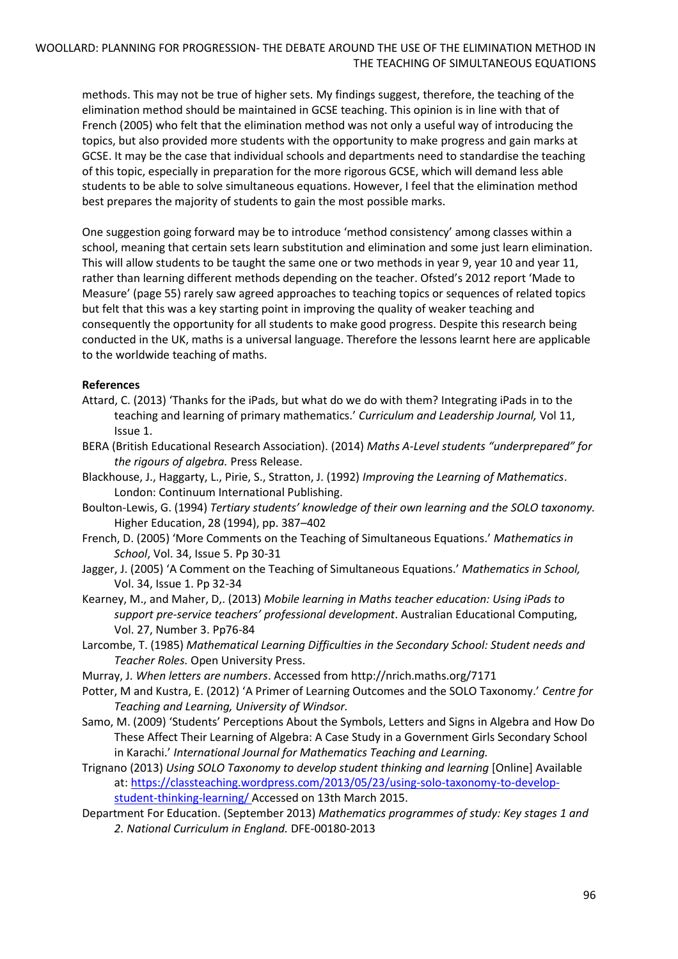## WOOLLARD: PLANNING FOR PROGRESSION- THE DEBATE AROUND THE USE OF THE ELIMINATION METHOD IN THE TEACHING OF SIMULTANEOUS EQUATIONS

methods. This may not be true of higher sets. My findings suggest, therefore, the teaching of the elimination method should be maintained in GCSE teaching. This opinion is in line with that of French (2005) who felt that the elimination method was not only a useful way of introducing the topics, but also provided more students with the opportunity to make progress and gain marks at GCSE. It may be the case that individual schools and departments need to standardise the teaching of this topic, especially in preparation for the more rigorous GCSE, which will demand less able students to be able to solve simultaneous equations. However, I feel that the elimination method best prepares the majority of students to gain the most possible marks.

One suggestion going forward may be to introduce 'method consistency' among classes within a school, meaning that certain sets learn substitution and elimination and some just learn elimination. This will allow students to be taught the same one or two methods in year 9, year 10 and year 11, rather than learning different methods depending on the teacher. Ofsted's 2012 report 'Made to Measure' (page 55) rarely saw agreed approaches to teaching topics or sequences of related topics but felt that this was a key starting point in improving the quality of weaker teaching and consequently the opportunity for all students to make good progress. Despite this research being conducted in the UK, maths is a universal language. Therefore the lessons learnt here are applicable to the worldwide teaching of maths.

## **References**

- Attard, C. (2013) 'Thanks for the iPads, but what do we do with them? Integrating iPads in to the teaching and learning of primary mathematics.' *Curriculum and Leadership Journal,* Vol 11, Issue 1.
- BERA (British Educational Research Association). (2014) *Maths A-Level students "underprepared" for the rigours of algebra.* Press Release.
- Blackhouse, J., Haggarty, L., Pirie, S., Stratton, J. (1992) *Improving the Learning of Mathematics*. London: Continuum International Publishing.
- Boulton-Lewis, G. (1994) *Tertiary students' knowledge of their own learning and the SOLO taxonomy.*  Higher Education, 28 (1994), pp. 387–402
- French, D. (2005) 'More Comments on the Teaching of Simultaneous Equations.' *Mathematics in School*, Vol. 34, Issue 5. Pp 30-31
- Jagger, J. (2005) 'A Comment on the Teaching of Simultaneous Equations.' *Mathematics in School,*  Vol. 34, Issue 1. Pp 32-34
- Kearney, M., and Maher, D,. (2013) *Mobile learning in Maths teacher education: Using iPads to support pre-service teachers' professional development*. Australian Educational Computing, Vol. 27, Number 3. Pp76-84
- Larcombe, T. (1985) *Mathematical Learning Difficulties in the Secondary School: Student needs and Teacher Roles.* Open University Press.
- Murray, J. *When letters are numbers*. Accessed from http://nrich.maths.org/7171
- Potter, M and Kustra, E. (2012) 'A Primer of Learning Outcomes and the SOLO Taxonomy.' *Centre for Teaching and Learning, University of Windsor.*
- Samo, M. (2009) 'Students' Perceptions About the Symbols, Letters and Signs in Algebra and How Do These Affect Their Learning of Algebra: A Case Study in a Government Girls Secondary School in Karachi.' *International Journal for Mathematics Teaching and Learning.*
- Trignano (2013) *Using SOLO Taxonomy to develop student thinking and learning* [Online] Available at: [https://classteaching.wordpress.com/2013/05/23/using-solo-taxonomy-to-develop](https://classteaching.wordpress.com/2013/05/23/using-solo-taxonomy-to-develop-student-thinking-learning/)[student-thinking-learning/](https://classteaching.wordpress.com/2013/05/23/using-solo-taxonomy-to-develop-student-thinking-learning/) Accessed on 13th March 2015.
- Department For Education. (September 2013) *Mathematics programmes of study: Key stages 1 and 2. National Curriculum in England.* DFE-00180-2013